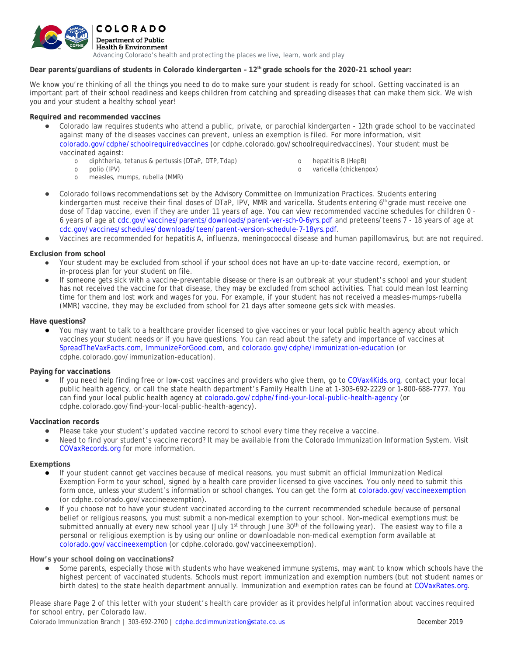

## **Dear parents/guardians of students in Colorado kindergarten – 12th grade schools for the 2020-21 school year:**

We know you're thinking of all the things you need to do to make sure your student is ready for school. Getting vaccinated is an important part of their school readiness and keeps children from catching and spreading diseases that can make them sick. We wish you and your student a healthy school year!

## **Required and recommended vaccines**

- Colorado law requires students who attend a public, private, or parochial kindergarten 12th grade school to be vaccinated against many of the diseases vaccines can prevent, unless an exemption is filed. For more information, visit [colorado.gov/cdphe/schoolrequiredvaccines](https://www.colorado.gov/pacific/cdphe/schoolrequiredvaccines) (or cdphe.colorado.gov/schoolrequiredvaccines). Your student must be vaccinated against:
	- o diphtheria, tetanus & pertussis (DTaP, DTP,Tdap)
	- o polio (IPV)
	- o measles, mumps, rubella (MMR)
- o hepatitis B (HepB)
- o varicella (chickenpox)
- Colorado follows recommendations set by the Advisory Committee on Immunization Practices. Students entering kindergarten must receive their final doses of DTaP, IPV, MMR and varicella. Students entering 6th grade must receive one dose of Tdap vaccine, even if they are under 11 years of age. You can view recommended vaccine schedules for children 0 - 6 years of age at [cdc.gov/vaccines/parents/downloads/parent-ver-sch-0-6yrs.pdf](https://www.cdc.gov/vaccines/parents/downloads/parent-ver-sch-0-6yrs.pdf) and preteens/teens 7 - 18 years of age a[t](https://www.cdc.gov/vaccines/schedules/downloads/teen/parent-version-schedule-7-18yrs.pdf) [cdc.gov/vaccines/schedules/downloads/teen/parent-version-schedule-7-18yrs.pdf.](https://www.cdc.gov/vaccines/schedules/downloads/teen/parent-version-schedule-7-18yrs.pdf)
- Vaccines are recommended for hepatitis A, influenza, meningococcal disease and human papillomavirus, but are not required.

## **Exclusion from school**

- Your student may be excluded from school if your school does not have an up-to-date vaccine record, exemption, or in-process plan for your student on file.
- If someone gets sick with a vaccine-preventable disease or there is an outbreak at your student's school and your student has not received the vaccine for that disease, they may be excluded from school activities. That could mean lost learning time for them and lost work and wages for you. For example, if your student has not received a measles-mumps-rubella (MMR) vaccine, they may be excluded from school for 21 days after someone gets sick with measles.

## **Have questions?**

You may want to talk to a healthcare provider licensed to give vaccines or your local public health agency about which vaccines your student needs or if you have questions. You can read about the safety and importance of vaccines at [SpreadTheVaxFacts.com,](http://www.spreadthevaxfacts.com/) [ImmunizeForGood.com,](http://www.immunizeforgood.com/) and [colorado.gov/cdphe/immunization-education](https://www.colorado.gov/cdphe/immunization-education) (or cdphe.colorado.gov/immunization-education).

# **Paying for vaccinations**

If you need help finding free or low-cost vaccines and providers who give them, go to [COVax4Kids.org,](http://www.covax4kids.org/) contact your local public health agency, or call the state health department's Family Health Line at 1-303-692-2229 or 1-800-688-7777. You can find your local public health agency at [colorado.gov/cdphe/find-your-local-public-health-agency](http://www.colorado.gov/cdphe/find-your-local-public-health-agency) (or cdphe.colorado.gov/find-your-local-public-health-agency).

### **Vaccination records**

- Please take your student's updated vaccine record to school every time they receive a vaccine.
- Need to find your student's vaccine record? It may be available from the Colorado Immunization Information System. Visit [COVaxRecords.org](http://www.covaxrecords.org/) for more information.

### **Exemptions**

- If your student cannot get vaccines because of medical reasons, you must submit an official *Immunization Medical Exemption Form* to your school, signed by a health care provider licensed to give vaccines. You only need to submit this form once, unless your student's information or school changes. You can get the form at [colorado.gov/vaccineexemption](http://www.colorado.gov/vaccineexemption) (or cdphe.colorado.gov/vaccineexemption).
- If you choose not to have your student vaccinated according to the current recommended schedule because of personal belief or religious reasons, you must submit a non-medical exemption to your school. Non-medical exemptions must be submitted annually at every new school year (July  $1^{st}$  through June  $30^{th}$  of the following year). The easiest way to file a personal or religious exemption is by using our online or downloadable non-medical exemption form available at [colorado.gov/vaccineexemption](http://www.colorado.gov/vaccineexemption) (or cdphe.colorado.gov/vaccineexemption).

### **How's your school doing on vaccinations?**

Some parents, especially those with students who have weakened immune systems, may want to know which schools have the highest percent of vaccinated students. Schools must report immunization and exemption numbers (but not student names or birth dates) to the state health department annually. Immunization and exemption rates can be found a[t COVaxRates.org.](http://www.colorado.gov/pacific/cdphe/school-and-child-care-immunization-data)

Please share Page 2 of this letter with your student's health care provider as it provides helpful information about vaccines required for school entry, per Colorado law.